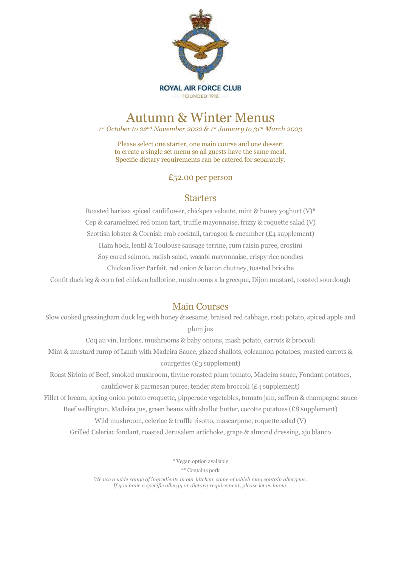

# Autumn & Winter Menus

*1 st October to 22nd November 2022 & 1 st January to 31st March 2023*

Please select one starter, one main course and one dessert to create a single set menu so all guests have the same meal. Specific dietary requirements can be catered for separately.

#### £52.00 per person

### **Starters**

Roasted harissa spiced cauliflower, chickpea veloute, mint & honey yoghurt (V)\* Cep & caramelized red onion tart, truffle mayonnaise, frizzy & roquette salad (V) Scottish lobster & Cornish crab cocktail, tarragon & cucumber (£4 supplement) Ham hock, lentil & Toulouse sausage terrine, rum raisin puree, crostini Soy cured salmon, radish salad, wasabi mayonnaise, crispy rice noodles Chicken liver Parfait, red onion & bacon chutney, toasted brioche

Confit duck leg & corn fed chicken ballotine, mushrooms a la grecque, Dijon mustard, toasted sourdough

## Main Courses

Slow cooked gressingham duck leg with honey & sesame, braised red cabbage, rosti potato, spiced apple and plum jus

Coq au vin, lardons, mushrooms & baby onions, mash potato, carrots & broccoli Mint & mustard rump of Lamb with Madeira Sauce, glazed shallots, colcannon potatoes, roasted carrots & courgettes (£3 supplement)

Roast Sirloin of Beef, smoked mushroom, thyme roasted plum tomato, Madeira sauce, Fondant potatoes, cauliflower & parmesan puree, tender stem broccoli (£4 supplement)

Fillet of bream, spring onion potato croquette, pipperade vegetables, tomato jam, saffron & champagne sauce

Beef wellington, Madeira jus, green beans with shallot butter, cocotte potatoes (£8 supplement)

Wild mushroom, celeriac & truffle risotto, mascarpone, roquette salad (V)

Grilled Celeriac fondant, roasted Jerusalem artichoke, grape & almond dressing, ajo blanco

\* Vegan option available

\*\* Contains pork

*We use a wide range of ingredients in our kitchen, some of which may contain allergens. If you have a specific allergy or dietary requirement, please let us know.*